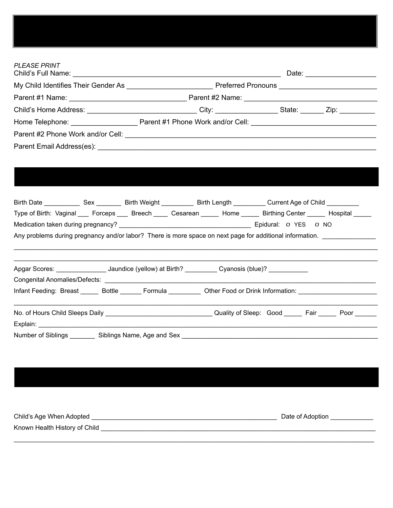| <b>PLEASE PRINT</b> |  |  |  |
|---------------------|--|--|--|

| Type of Birth: Vaginal ___ Forceps ___ Breech ____ Cesarean _____ Home _____ Birthing Center _____ Hospital _____                       |  |  |
|-----------------------------------------------------------------------------------------------------------------------------------------|--|--|
|                                                                                                                                         |  |  |
| Any problems during pregnancy and/or labor? There is more space on next page for additional information. ______________________________ |  |  |
|                                                                                                                                         |  |  |
|                                                                                                                                         |  |  |
| Apgar Scores: ___________________ Jaundice (yellow) at Birth? __________ Cyanosis (blue)? ___________                                   |  |  |
|                                                                                                                                         |  |  |
| Infant Feeding: Breast ______ Bottle _______ Formula __________ Other Food or Drink Information: __________________________             |  |  |
|                                                                                                                                         |  |  |
|                                                                                                                                         |  |  |
|                                                                                                                                         |  |  |

# Child's Age When Adopted \_\_\_\_\_\_\_\_\_\_\_\_\_\_\_\_\_\_\_\_\_\_\_\_\_\_\_\_\_\_\_\_\_\_\_\_\_\_\_\_\_\_\_\_\_\_\_\_\_\_\_\_ Date of Adoption \_\_\_\_\_\_\_\_\_\_\_\_ Known Health History of Child \_\_\_\_\_\_\_\_\_\_\_\_\_\_\_\_\_\_\_\_\_\_\_\_\_\_\_\_\_\_\_\_\_\_\_\_\_\_\_\_\_\_\_\_\_\_\_\_\_\_\_\_\_\_\_\_\_\_\_\_\_\_\_\_\_\_\_\_\_\_\_\_\_\_\_\_\_

\_\_\_\_\_\_\_\_\_\_\_\_\_\_\_\_\_\_\_\_\_\_\_\_\_\_\_\_\_\_\_\_\_\_\_\_\_\_\_\_\_\_\_\_\_\_\_\_\_\_\_\_\_\_\_\_\_\_\_\_\_\_\_\_\_\_\_\_\_\_\_\_\_\_\_\_\_\_\_\_\_\_\_\_\_\_\_\_\_\_\_\_\_\_\_\_\_\_\_\_\_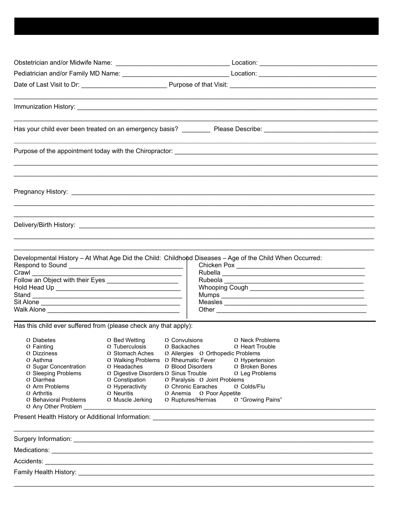|                                 |                                                                  | Has your child ever been treated on an emergency basis? ____________ Please Describe: ________________________ |
|---------------------------------|------------------------------------------------------------------|----------------------------------------------------------------------------------------------------------------|
|                                 |                                                                  |                                                                                                                |
|                                 |                                                                  |                                                                                                                |
|                                 |                                                                  |                                                                                                                |
|                                 |                                                                  |                                                                                                                |
|                                 |                                                                  | Developmental History - At What Age Did the Child: Childhopd Diseases - Age of the Child When Occurred:        |
|                                 |                                                                  |                                                                                                                |
| Crawl <u>Crawl</u>              |                                                                  |                                                                                                                |
|                                 |                                                                  |                                                                                                                |
| Stand                           |                                                                  |                                                                                                                |
|                                 |                                                                  |                                                                                                                |
|                                 |                                                                  |                                                                                                                |
|                                 | Has this child ever suffered from (please check any that apply): |                                                                                                                |
| () Diabetes                     | () Bed Wetting () Convulsions                                    | () Neck Problems                                                                                               |
| () Fainting                     | () Tuberculosis<br>() Backaches                                  | () Heart Trouble                                                                                               |
| () Dizziness<br>$\Omega$ Asthma | C Stomach Aches<br>() Walking Problems () Rheumatic Fever        | () Allergies () Orthopedic Problems<br>() Hypertension                                                         |
| () Sugar Concentration          | () Headaches                                                     | () Blood Disorders<br>() Broken Bones                                                                          |
| C Sleeping Problems             | () Digestive Disorders () Sinus Trouble                          | () Leg Problems                                                                                                |
| () Diarrhea                     | () Constipation                                                  | () Paralysis () Joint Problems                                                                                 |
| () Arm Problems<br>() Arthritis | () Hyperactivity<br>() Neuritis                                  | Chronic Earaches<br>() Colds/Flu<br>() Anemia () Poor Appetite                                                 |
| () Behavioral Problems          | () Muscle Jerking                                                | () "Growing Pains"<br>O Ruptures/Hernias                                                                       |
| () Any Other Problem            |                                                                  |                                                                                                                |
|                                 |                                                                  |                                                                                                                |
|                                 |                                                                  |                                                                                                                |
|                                 |                                                                  |                                                                                                                |
|                                 |                                                                  |                                                                                                                |
|                                 |                                                                  |                                                                                                                |
|                                 |                                                                  |                                                                                                                |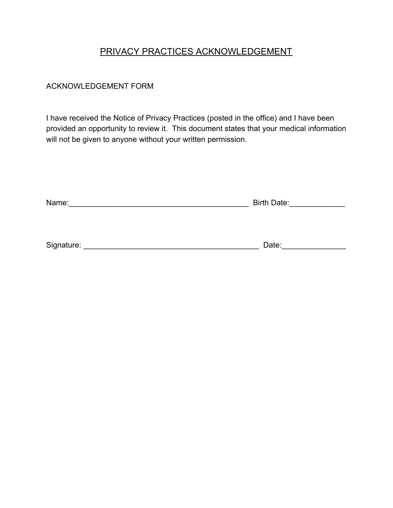# PRIVACY PRACTICES ACKNOWLEDGEMENT

# ACKNOWLEDGEMENT FORM

I have received the Notice of Privacy Practices (posted in the office) and I have been provided an opportunity to review it. This document states that your medical information will not be given to anyone without your written permission.

| Name: | <b>Birth Date:</b> |
|-------|--------------------|
|       |                    |
|       |                    |

| Signature: | .012 |
|------------|------|
|            |      |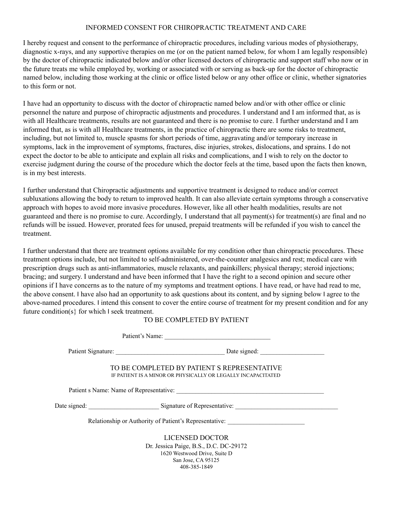#### INFORMED CONSENT FOR CHIROPRACTIC TREATMENT AND CARE

I hereby request and consent to the performance of chiropractic procedures, including various modes of physiotherapy, diagnostic x-rays, and any supportive therapies on me (or on the patient named below, for whom I am legally responsible) by the doctor of chiropractic indicated below and/or other licensed doctors of chiropractic and support staff who now or in the future treats me while employed by, working or associated with or serving as back-up for the doctor of chiropractic named below, including those working at the clinic or office listed below or any other office or clinic, whether signatories to this form or not.

I have had an opportunity to discuss with the doctor of chiropractic named below and/or with other office or clinic personnel the nature and purpose of chiropractic adjustments and procedures. I understand and I am informed that, as is with all Healthcare treatments, results are not guaranteed and there is no promise to cure. I further understand and I am informed that, as is with all Healthcare treatments, in the practice of chiropractic there are some risks to treatment, including, but not limited to, muscle spasms for short periods of time, aggravating and/or temporary increase in symptoms, lack in the improvement of symptoms, fractures, disc injuries, strokes, dislocations, and sprains. I do not expect the doctor to be able to anticipate and explain all risks and complications, and I wish to rely on the doctor to exercise judgment during the course of the procedure which the doctor feels at the time, based upon the facts then known, is in my best interests.

I further understand that Chiropractic adjustments and supportive treatment is designed to reduce and/or correct subluxations allowing the body to return to improved health. It can also alleviate certain symptoms through a conservative approach with hopes to avoid more invasive procedures. However, like all other health modalities, results are not guaranteed and there is no promise to cure. Accordingly, I understand that all payment(s) for treatment(s) are final and no refunds will be issued. However, prorated fees for unused, prepaid treatments will be refunded if you wish to cancel the treatment.

I further understand that there are treatment options available for my condition other than chiropractic procedures. These treatment options include, but not limited to self-administered, over-the-counter analgesics and rest; medical care with prescription drugs such as anti-inflammatories, muscle relaxants, and painkillers; physical therapy; steroid injections; bracing; and surgery. I understand and have been informed that I have the right to a second opinion and secure other opinions if I have concerns as to the nature of my symptoms and treatment options. I have read, or have had read to me, the above consent. I have also had an opportunity to ask questions about its content, and by signing below I agree to the above-named procedures. I intend this consent to cover the entire course of treatment for my present condition and for any future condition(s} for which I seek treatment.

#### TO BE COMPLETED BY PATIENT

| Patient's Name:                                                                                             |  |
|-------------------------------------------------------------------------------------------------------------|--|
|                                                                                                             |  |
| TO BE COMPLETED BY PATIENT S REPRESENTATIVE<br>IF PATIENT IS A MINOR OR PHYSICALLY OR LEGALLY INCAPACITATED |  |
|                                                                                                             |  |
| Date signed: Signature of Representative:                                                                   |  |
| Relationship or Authority of Patient's Representative:                                                      |  |
| LICENSED DOCTOR                                                                                             |  |
| Dr. Jessica Paige, B.S., D.C. DC-29172                                                                      |  |
| 1620 Westwood Drive, Suite D                                                                                |  |
| San Jose, CA 95125                                                                                          |  |
| 408-385-1849                                                                                                |  |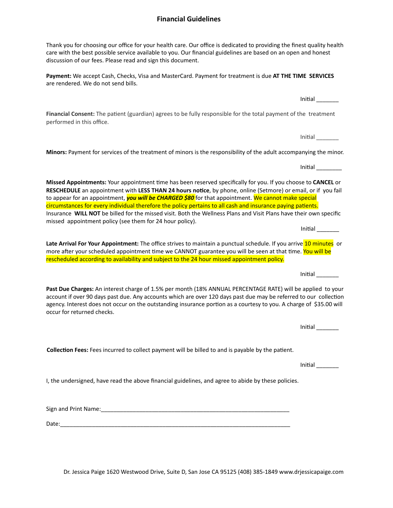#### Dr. Jessica Paige 1620 Westwood Drive, Suite D, San Jose CA 95125 (408) 385-1849 www.drjessicapaige.com

#### **Financial Guidelines**

Thank you for choosing our office for your health care. Our office is dedicated to providing the finest quality health care with the best possible service available to you. Our financial guidelines are based on an open and honest discussion of our fees. Please read and sign this document.

**Payment:** We accept Cash, Checks, Visa and MasterCard. Payment for treatment is due **AT THE TIME SERVICES** are rendered. We do not send bills.

Financial Consent: The patient (guardian) agrees to be fully responsible for the total payment of the treatment performed in this office.

**Minors:** Payment for services of the treatment of minors is the responsibility of the adult accompanying the minor.

**Missed Appointments:** Your appointment time has been reserved specifically for you. If you choose to **CANCEL** or **RESCHEDULE** an appointment with **LESS THAN 24 hours noce**, by phone, online (Setmore) or email, or if you fail to appear for an appointment, *you will be CHARGED \$80* for that appointment. We cannot make special circumstances for every individual therefore the policy pertains to all cash and insurance paying patients. Insurance **WILL NOT** be billed for the missed visit. Both the Wellness Plans and Visit Plans have their own specific missed appointment policy (see them for 24 hour policy).

Late Arrival For Your Appointment: The office strives to maintain a punctual schedule. If you arrive 10 minutes or more after your scheduled appointment time we CANNOT guarantee you will be seen at that time. You will be rescheduled according to availability and subject to the 24 hour missed appointment policy.

**Past Due Charges:** An interest charge of 1.5% per month (18% ANNUAL PERCENTAGE RATE) will be applied to your account if over 90 days past due. Any accounts which are over 120 days past due may be referred to our collection agency. Interest does not occur on the outstanding insurance portion as a courtesy to you. A charge of \$35.00 will occur for returned checks.

**Collection Fees:** Fees incurred to collect payment will be billed to and is payable by the patient.

I, the undersigned, have read the above financial guidelines, and agree to abide by these policies.

Sign and Print Name:\_\_\_\_\_\_\_\_\_\_\_\_\_\_\_\_\_\_\_\_\_\_\_\_\_\_\_\_\_\_\_\_\_\_\_\_\_\_\_\_\_\_\_\_\_\_\_\_\_\_\_\_\_\_\_\_\_\_\_

Date:\_\_\_\_\_\_\_\_\_\_\_\_\_\_\_\_\_\_\_\_\_\_\_\_\_\_\_\_\_\_\_\_\_\_\_\_\_\_\_\_\_\_\_\_\_\_\_\_\_\_\_\_\_\_\_\_\_\_\_\_\_\_\_\_\_\_\_\_\_\_\_\_

Initial **Algebra** 

Inial \_\_\_\_\_\_\_

Initial **and** 

Initial

Inial \_\_\_\_\_\_\_

Initial **Algebra** 

 $Initial$   $\qquad$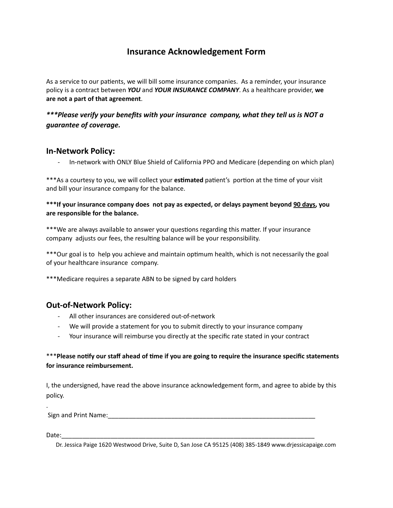# **Insurance Acknowledgement Form**

As a service to our patients, we will bill some insurance companies. As a reminder, your insurance policy is a contract between *YOU* and *YOUR INSURANCE COMPANY*. As a healthcare provider, **we are not a part of that agreement**.

# *\*\*\*Please verify your benefits with your insurance company, what they tell us is NOT a guarantee of coverage.*

## **In-Network Policy:**

- In-network with ONLY Blue Shield of California PPO and Medicare (depending on which plan)

\*\*\*As a courtesy to you, we will collect your estimated patient's portion at the time of your visit and bill your insurance company for the balance.

**\*\*\*If your insurance company does not pay as expected, or delays payment beyond 90 days, you are responsible for the balance.**

\*\*\*We are always available to answer your questions regarding this matter. If your insurance company adjusts our fees, the resulting balance will be your responsibility.

\*\*\*Our goal is to help you achieve and maintain optimum health, which is not necessarily the goal of your healthcare insurance company.

\*\*\*Medicare requires a separate ABN to be signed by card holders

## **Out-of-Network Policy:**

- All other insurances are considered out-of-network
- We will provide a statement for you to submit directly to your insurance company
- Your insurance will reimburse you directly at the specific rate stated in your contract

## \*\*\***Please nofy our staff ahead of me if you are going to require the insurance specific statements for insurance reimbursement.**

I, the undersigned, have read the above insurance acknowledgement form, and agree to abide by this policy.

Sign and Print Name:\_\_\_\_\_\_\_\_\_\_\_\_\_\_\_\_\_\_\_\_\_\_\_\_\_\_\_\_\_\_\_\_\_\_\_\_\_\_\_\_\_\_\_\_\_\_\_\_\_\_\_\_\_\_\_\_\_\_\_

Date:\_\_\_\_\_\_\_\_\_\_\_\_\_\_\_\_\_\_\_\_\_\_\_\_\_\_\_\_\_\_\_\_\_\_\_\_\_\_\_\_\_\_\_\_\_\_\_\_\_\_\_\_\_\_\_\_\_\_\_\_\_\_\_\_\_\_\_\_\_\_\_\_

.

Dr. Jessica Paige 1620 Westwood Drive, Suite D, San Jose CA 95125 (408) 385-1849 www.drjessicapaige.com